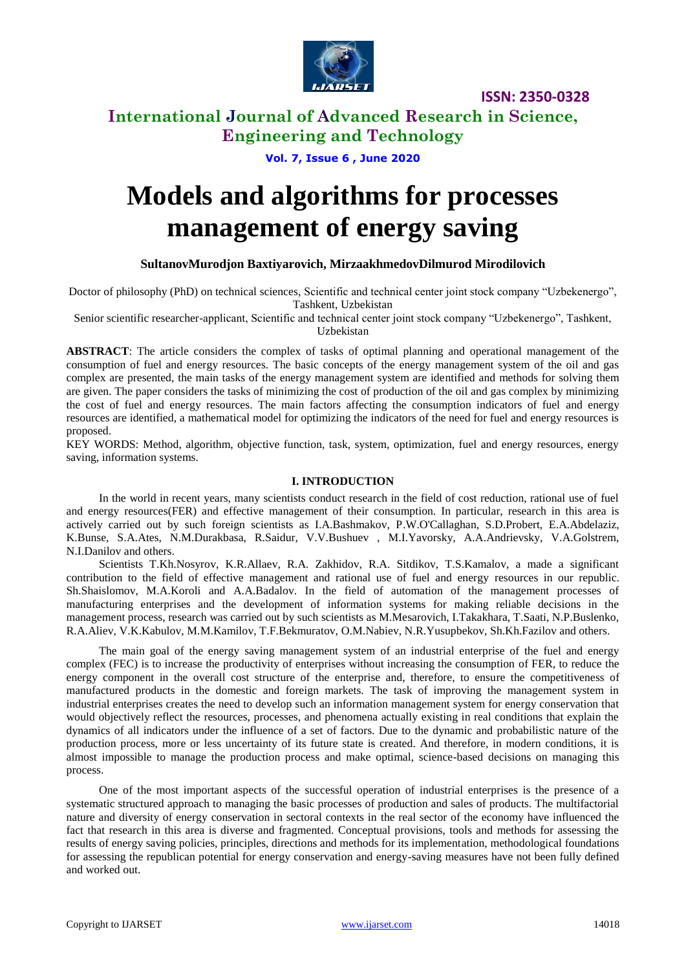

## **International Journal of Advanced Research in Science, Engineering and Technology**

### **Vol. 7, Issue 6 , June 2020**

# **Models and algorithms for processes management of energy saving**

### **SultanovMurodjon Baxtiyarovich, MirzaakhmedovDilmurod Mirodilovich**

Doctor of philosophy (PhD) on technical sciences, Scientific and technical center joint stock company "Uzbekenergo", Tashkent, Uzbekistan

Senior scientific researcher-applicant, Scientific and technical center joint stock company "Uzbekenergo", Tashkent, Uzbekistan

**ABSTRACT**: The article considers the complex of tasks of optimal planning and operational management of the consumption of fuel and energy resources. The basic concepts of the energy management system of the oil and gas complex are presented, the main tasks of the energy management system are identified and methods for solving them are given. The paper considers the tasks of minimizing the cost of production of the oil and gas complex by minimizing the cost of fuel and energy resources. The main factors affecting the consumption indicators of fuel and energy resources are identified, a mathematical model for optimizing the indicators of the need for fuel and energy resources is proposed.

KEY WORDS: Method, algorithm, objective function, task, system, optimization, fuel and energy resources, energy saving, information systems.

### **I. INTRODUCTION**

In the world in recent years, many scientists conduct research in the field of cost reduction, rational use of fuel and energy resources(FER) and effective management of their consumption. In particular, research in this area is actively carried out by such foreign scientists as I.A.Bashmakov, P.W.O'Callaghan, S.D.Probert, E.A.Abdelaziz, K.Bunse, S.A.Ates, N.M.Durakbasa, R.Saidur, V.V.Bushuev , M.I.Yavorsky, A.A.Andrievsky, V.A.Golstrem, N.I.Danilov and others.

Scientists T.Kh.Nosyrov, K.R.Allaev, R.A. Zakhidov, R.A. Sitdikov, T.S.Kamalov, a made a significant contribution to the field of effective management and rational use of fuel and energy resources in our republic. Sh.Shaislomov, M.A.Koroli and A.A.Badalov. In the field of automation of the management processes of manufacturing enterprises and the development of information systems for making reliable decisions in the management process, research was carried out by such scientists as M.Mesarovich, I.Takakhara, T.Saati, N.P.Buslenko, R.A.Aliev, V.K.Kabulov, M.M.Kamilov, T.F.Bekmuratov, O.M.Nabiev, N.R.Yusupbekov, Sh.Kh.Fazilov and others.

The main goal of the energy saving management system of an industrial enterprise of the fuel and energy complex (FEC) is to increase the productivity of enterprises without increasing the consumption of FER, to reduce the energy component in the overall cost structure of the enterprise and, therefore, to ensure the competitiveness of manufactured products in the domestic and foreign markets. The task of improving the management system in industrial enterprises creates the need to develop such an information management system for energy conservation that would objectively reflect the resources, processes, and phenomena actually existing in real conditions that explain the dynamics of all indicators under the influence of a set of factors. Due to the dynamic and probabilistic nature of the production process, more or less uncertainty of its future state is created. And therefore, in modern conditions, it is almost impossible to manage the production process and make optimal, science-based decisions on managing this process.

One of the most important aspects of the successful operation of industrial enterprises is the presence of a systematic structured approach to managing the basic processes of production and sales of products. The multifactorial nature and diversity of energy conservation in sectoral contexts in the real sector of the economy have influenced the fact that research in this area is diverse and fragmented. Conceptual provisions, tools and methods for assessing the results of energy saving policies, principles, directions and methods for its implementation, methodological foundations for assessing the republican potential for energy conservation and energy-saving measures have not been fully defined and worked out.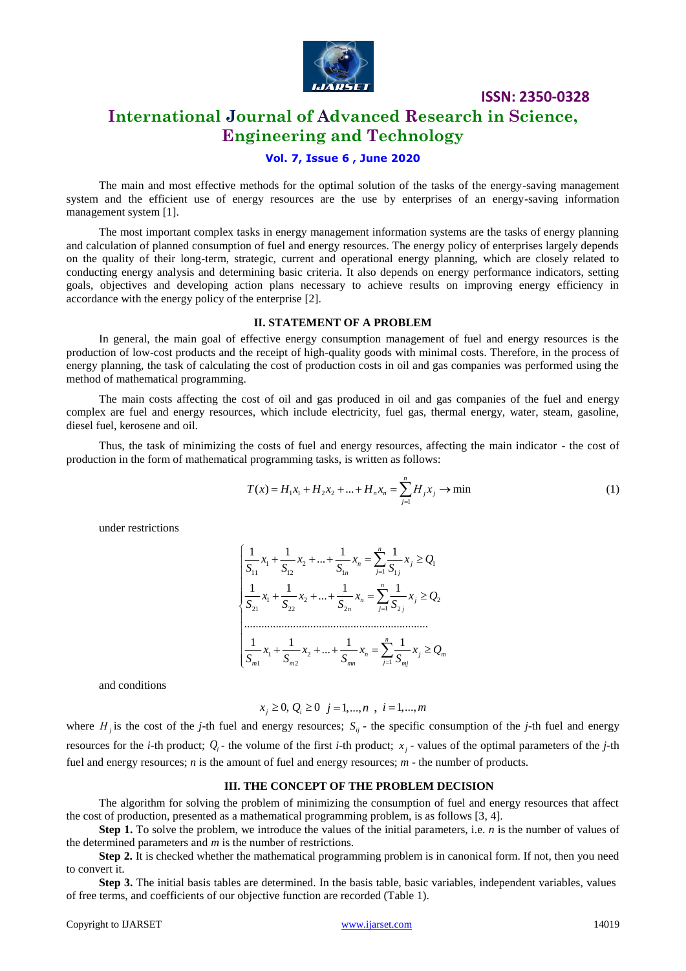

## **International Journal of Advanced Research in Science, Engineering and Technology**

### **Vol. 7, Issue 6 , June 2020**

The main and most effective methods for the optimal solution of the tasks of the energy-saving management system and the efficient use of energy resources are the use by enterprises of an energy-saving information management system [1].

The most important complex tasks in energy management information systems are the tasks of energy planning and calculation of planned consumption of fuel and energy resources. The energy policy of enterprises largely depends on the quality of their long-term, strategic, current and operational energy planning, which are closely related to conducting energy analysis and determining basic criteria. It also depends on energy performance indicators, setting goals, objectives and developing action plans necessary to achieve results on improving energy efficiency in accordance with the energy policy of the enterprise [2].

### **II. STATEMENT OF A PROBLEM**

In general, the main goal of effective energy consumption management of fuel and energy resources is the production of low-cost products and the receipt of high-quality goods with minimal costs. Therefore, in the process of energy planning, the task of calculating the cost of production costs in oil and gas companies was performed using the method of mathematical programming.

The main costs affecting the cost of oil and gas produced in oil and gas companies of the fuel and energy complex are fuel and energy resources, which include electricity, fuel gas, thermal energy, water, steam, gasoline, diesel fuel, kerosene and oil.

Thus, the task of minimizing the costs of fuel and energy resources, affecting the main indicator - the cost of production in the form of mathematical programming tasks, is written as follows:

$$
T(x) = H_1 x_1 + H_2 x_2 + \dots + H_n x_n = \sum_{j=1}^n H_j x_j \to \min
$$
 (1)

under restrictions

$$
\begin{cases} \frac{1}{S_{11}}x_1 + \frac{1}{S_{12}}x_2 + \dots + \frac{1}{S_{1n}}x_n = \sum_{j=1}^n \frac{1}{S_{1j}}x_j \ge Q_1\\ \frac{1}{S_{21}}x_1 + \frac{1}{S_{22}}x_2 + \dots + \frac{1}{S_{2n}}x_n = \sum_{j=1}^n \frac{1}{S_{2j}}x_j \ge Q_2\\ \dots\\ \frac{1}{S_{m1}}x_1 + \frac{1}{S_{m2}}x_2 + \dots + \frac{1}{S_{mn}}x_n = \sum_{j=1}^n \frac{1}{S_{mj}}x_j \ge Q_m \end{cases}
$$

and conditions

$$
x_j \ge 0, Q_i \ge 0 \ \ j = 1,...,n \ \ , \ i = 1,...,m
$$

where  $H_j$  is the cost of the *j*-th fuel and energy resources;  $S_{ij}$  - the specific consumption of the *j*-th fuel and energy resources for the *i*-th product;  $Q_i$ - the volume of the first *i*-th product;  $x_j$ - values of the optimal parameters of the *j*-th fuel and energy resources; *n* is the amount of fuel and energy resources; *m* - the number of products.

#### **III. THE CONCEPT OF THE PROBLEM DECISION**

The algorithm for solving the problem of minimizing the consumption of fuel and energy resources that affect the cost of production, presented as a mathematical programming problem, is as follows [3, 4].

**Step 1.** To solve the problem, we introduce the values of the initial parameters, i.e. *n* is the number of values of the determined parameters and *m* is the number of restrictions.

**Step 2.** It is checked whether the mathematical programming problem is in canonical form. If not, then you need to convert it.

**Step 3.** The initial basis tables are determined. In the basis table, basic variables, independent variables, values of free terms, and coefficients of our objective function are recorded (Table 1).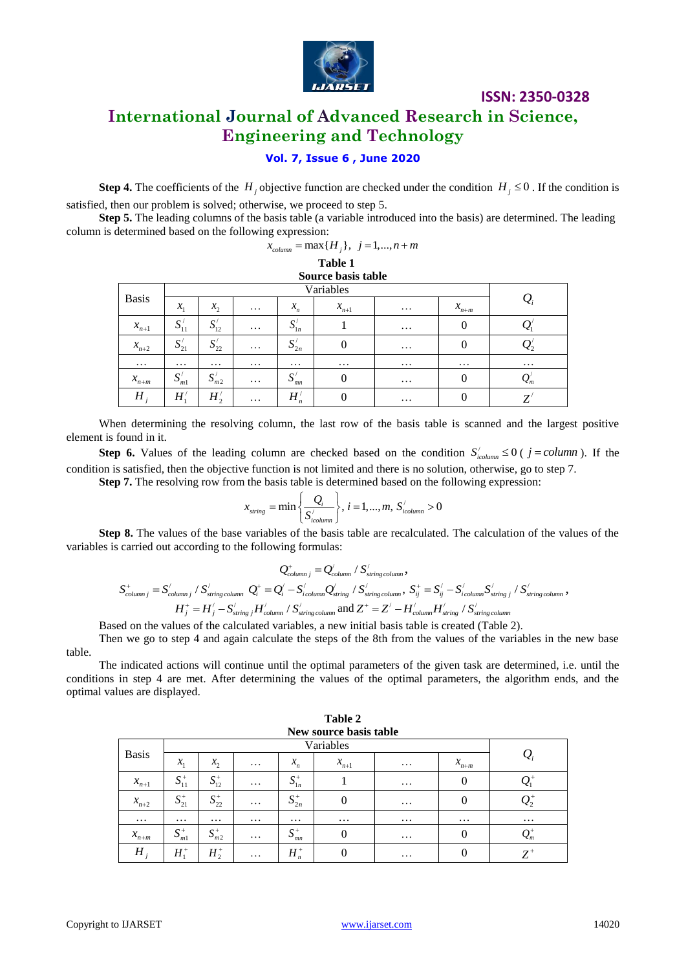

# **International Journal of Advanced Research in Science, Engineering and Technology**

### **Vol. 7, Issue 6 , June 2020**

**Step 4.** The coefficients of the  $H_j$  objective function are checked under the condition  $H_j \le 0$ . If the condition is satisfied, then our problem is solved; otherwise, we proceed to step 5.

**Step 5.** The leading columns of the basis table (a variable introduced into the basis) are determined. The leading column is determined based on the following expression:<br> $x_{column} = \max\{H_j\}, \ j = 1,...,n+m$ 

| $\lambda_{column}$ | $_{n} = \max\{H_{i}\}, \ j = 1, , n + m$ |  |  |
|--------------------|------------------------------------------|--|--|
|--------------------|------------------------------------------|--|--|

### **Table 1**

| Source basis table |                   |                                            |          |                                   |           |          |                    |                 |  |  |
|--------------------|-------------------|--------------------------------------------|----------|-----------------------------------|-----------|----------|--------------------|-----------------|--|--|
|                    |                   |                                            |          |                                   |           |          |                    |                 |  |  |
| <b>Basis</b>       | $x_{1}$           | $x_2$                                      | $\cdots$ | $x_n$                             | $x_{n+1}$ | $\cdots$ | $x$ <sub>n+m</sub> | $\mathcal{Q}_i$ |  |  |
| $x_{n+1}$          | $S'_{11}$         | $\mathbf{C}^{\prime}$<br>$\mathbf{v}_{12}$ | $\cdots$ | $\mathbf{C}^{\prime}$<br>$D_{1n}$ |           | $\cdots$ |                    | ້               |  |  |
| $x_{n+2}$          | $S_{21}^{\prime}$ | $\mathbf{C}$<br>$\mathbf{v}_{22}$          | $\cdots$ | $\mathbf{C}$<br>$\mathbf{v}_{2n}$ |           | $\cdots$ |                    | 22              |  |  |
| $\cdots$           | $\cdots$          | $\cdots$                                   | $\cdots$ | $\cdots$                          | $\cdots$  | $\cdots$ | $\cdots$           | $\cdots$        |  |  |
| $x_{n+m}$          | S'<br>ml          | S'<br>m <sub>2</sub>                       | $\cdots$ | U<br>IJ<br>mn                     |           | $\cdots$ |                    | $\mathcal{L}_m$ |  |  |
| Η                  | $H_1'$            | $H_2^{/}$                                  | $\cdots$ | $H_n'$                            |           | $\cdots$ |                    | 7               |  |  |

When determining the resolving column, the last row of the basis table is scanned and the largest positive element is found in it.

**Step 6.** Values of the leading column are checked based on the condition  $S'_{icolumn} \leq 0$  ( $j = column$ ). If the condition is satisfied, then the objective function is not limited and there is no solution, otherwise, go to step 7.

**Step 7.** The resolving row from the basis table is determined based on the following expression:<br> $\begin{bmatrix} Q_i \\ Q_i \end{bmatrix}$   $i=1 \quad m \quad S'$ 

$$
x_{\text{string}} = \min\left\{\frac{Q_i}{S_{\text{icolumn}}^{'}}\right\}, i = 1, ..., m, S_{\text{icolumn}}^{'} > 0
$$

**Step 8.** The values of the base variables of the basis table are recalculated. The calculation of the values of the variables is carried out according to the following formulas:

$$
Q_{column j}^{+} = Q_{column}^{\prime} / S_{string\,column}^{\prime},
$$
  
\n
$$
S_{column j}^{+} = S_{column j}^{\prime} / S_{string\,column}^{\prime} Q_{i}^{+} = Q_{i}^{\prime} - S_{icolumn}^{\prime} Q_{string}^{\prime} / S_{string\,column}^{\prime}, S_{ij}^{+} = S_{ij}^{\prime} - S_{icolumn}^{\prime} S_{string\,j}^{\prime} / S_{string\,column}^{\prime},
$$
  
\n
$$
H_{j}^{+} = H_{j}^{\prime} - S_{string\,j}^{\prime} H_{column}^{\prime} / S_{string\,column}^{\prime}
$$
 and  $Z^{+} = Z^{\prime} - H_{column}^{\prime} H_{string}^{\prime} / S_{string\,column}^{\prime}$ 

Based on the values of the calculated variables, a new initial basis table is created (Table 2). Then we go to step 4 and again calculate the steps of the 8th from the values of the variables in the new base table.

The indicated actions will continue until the optimal parameters of the given task are determined, i.e. until the conditions in step 4 are met. After determining the values of the optimal parameters, the algorithm ends, and the optimal values are displayed.

| New source basis table |                 |              |          |                      |           |          |           |                                                               |  |  |
|------------------------|-----------------|--------------|----------|----------------------|-----------|----------|-----------|---------------------------------------------------------------|--|--|
| <b>Basis</b>           |                 |              |          |                      |           |          |           |                                                               |  |  |
|                        | $\mathcal{X}_1$ | $x_2$        | $\cdots$ | $x_{n}$              | $x_{n+1}$ | $\cdots$ | $x_{n+m}$ | $\mathcal{Q}_i$                                               |  |  |
| $\boldsymbol{x}_{n+1}$ | $S_{11}^+$      | $S_{12}^+$   | $\cdots$ | $S^+_{1n}$           |           | $\cdots$ | 0         |                                                               |  |  |
| $x_{n+2}$              | $S_{21}^+$      | $S_{22}^{+}$ | $\cdots$ | $S_{2n}^+$           |           | $\cdots$ |           | $\boldsymbol{\mathcal{Q}}_2$                                  |  |  |
| $\cdots$               | $\cdots$        | $\cdots$     | $\cdots$ | $\cdots$             | $\cdots$  | $\cdots$ | $\cdots$  | $\cdots$                                                      |  |  |
| $x_{n+m}$              | $S_{m1}^+$      | $S_{m2}^+$   | $\cdots$ | $S_{\infty}^+$<br>mn |           | $\cdots$ | 0         | $\mathcal{Q}^{\scriptscriptstyle +}_{{\scriptscriptstyle m}}$ |  |  |
| $H_{i}$                | $H_1^+$         | $H_2^+$      | $\cdots$ | $H_n^+$              |           | $\cdots$ |           | $Z^{\scriptscriptstyle +}$                                    |  |  |

**Table 2 New source basis table**